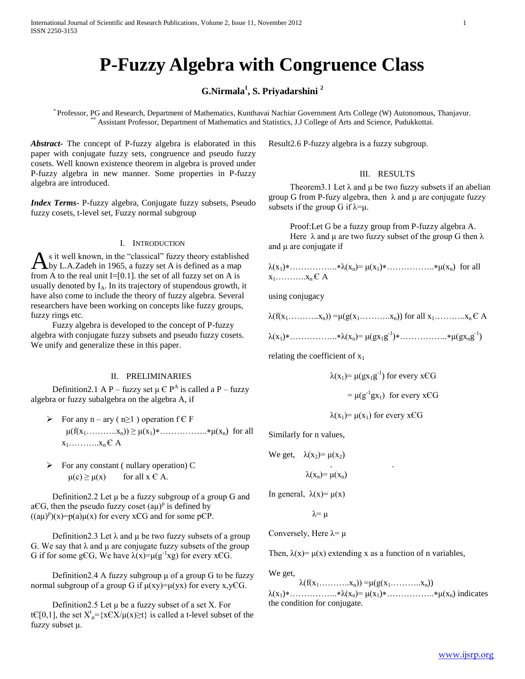# **P-Fuzzy Algebra with Congruence Class**

# **G.Nirmala<sup>1</sup> , S. Priyadarshini <sup>2</sup>**

\* Professor, PG and Research, Department of Mathematics, Kunthavai Nachiar Government Arts College (W) Autonomous, Thanjavur. \*\* Assistant Professor, Department of Mathematics and Statistics, J.J College of Arts and Science, Pudukkottai.

*Abstract***-** The concept of P-fuzzy algebra is elaborated in this paper with conjugate fuzzy sets, congruence and pseudo fuzzy cosets. Well known existence theorem in algebra is proved under P-fuzzy algebra in new manner. Some properties in P-fuzzy algebra are introduced.

*Index Terms*- P-fuzzy algebra, Conjugate fuzzy subsets, Pseudo fuzzy cosets, t-level set, Fuzzy normal subgroup

## I. INTRODUCTION

s it well known, in the "classical" fuzzy theory established As it well known, in the "classical" fuzzy theory establishe<br>by L.A.Zadeh in 1965, a fuzzy set A is defined as a map from A to the real unit I=[0.1]. the set of all fuzzy set on A is usually denoted by  $I_A$ . In its trajectory of stupendous growth, it have also come to include the theory of fuzzy algebra. Several researchers have been working on concepts like fuzzy groups, fuzzy rings etc.

 Fuzzy algebra is developed to the concept of P-fuzzy algebra with conjugate fuzzy subsets and pseudo fuzzy cosets. We unify and generalize these in this paper.

#### II. PRELIMINARIES

Definition2.1 A P – fuzzy set  $\mu \in P^A$  is called a P – fuzzy algebra or fuzzy subalgebra on the algebra A, if

- For any  $n ary (n \ge 1)$  operation  $f \in F$  $\mu(f(x_1, \ldots, x_n)) \geq \mu(x_1) * \ldots, \ldots, x_n \mu(x_n)$  for all  $x_1$ ………… $x_n \in A$
- $\triangleright$  For any constant ( nullary operation) C  $\mu(c) \ge \mu(x)$  for all  $x \in A$ .

Definition2.2 Let  $\mu$  be a fuzzy subgroup of a group G and aCG, then the pseudo fuzzy coset  $(a\mu)^p$  is defined by  $((a\mu)^p)(x)=p(a)\mu(x)$  for every xCG and for some pCP.

Definition2.3 Let  $\lambda$  and  $\mu$  be two fuzzy subsets of a group G. We say that  $\lambda$  and  $\mu$  are conjugate fuzzy subsets of the group G if for some gCG, We have  $\lambda(x) = \mu(g^{-1}x)$  for every xCG.

Definition2.4 A fuzzy subgroup  $\mu$  of a group G to be fuzzy normal subgroup of a group G if  $\mu(xy) = \mu(yx)$  for every x, yEG.

Definition 2.5 Let  $\mu$  be a fuzzy subset of a set X. For tC[0,1], the set  $X^t_{\mu} = \{x \in X / \mu(x) \ge t\}$  is called a t-level subset of the fuzzy subset μ.

Result2.6 P-fuzzy algebra is a fuzzy subgroup.

## III. RESULTS

Theorem3.1 Let  $\lambda$  and  $\mu$  be two fuzzy subsets if an abelian group G from P-fuzy algebra, then  $\lambda$  and  $\mu$  are conjugate fuzzy subsets if the group G if  $\lambda = \mu$ .

 Proof:Let G be a fuzzy group from P-fuzzy algebra A. Here  $\lambda$  and  $\mu$  are two fuzzy subset of the group G then  $\lambda$ and μ are conjugate if

λ(x1)……………..λ(xn)= μ(x1)……………..μ(xn) for all  $x_1, \ldots, x_n \in A$ 

using conjugacy

$$
\lambda(f(x_1, \ldots, x_n)) = \mu(g(x_1, \ldots, x_n))
$$
 for all  $x_1, \ldots, x_n \in A$ 

 $\lambda(x_1) * \dots \dots \dots \dots * \lambda(x_n) = \mu(gx_1g^{-1}) * \dots \dots \dots \dots * \mu(gx_ng^{-1})$ 

relating the coefficient of  $x_1$ 

$$
\lambda(x_1) = \mu(gx_1g^{-1}) \text{ for every } x \in G
$$

$$
= \mu(g^{-1}gx_1) \text{ for every } x \in G
$$

$$
\lambda(x_1) = \mu(x_1)
$$
 for every xCG

Similarly for n values,

We get, 
$$
\lambda(x_2) = \mu(x_2)
$$
  

$$
\lambda(x_n) = \mu(x_n)
$$

In general,  $\lambda(x) = \mu(x)$ 

$$
\lambda = \mu
$$

Conversely, Here  $\lambda = \mu$ 

Then,  $\lambda(x) = \mu(x)$  extending x as a function of n variables,

We get,

 $\lambda(f(x_1, \ldots, x_n)) = \mu(g(x_1, \ldots, x_n))$ λ(x1)……………..λ(xn)= μ(x1)……………..μ(xn) indicates the condition for conjugate.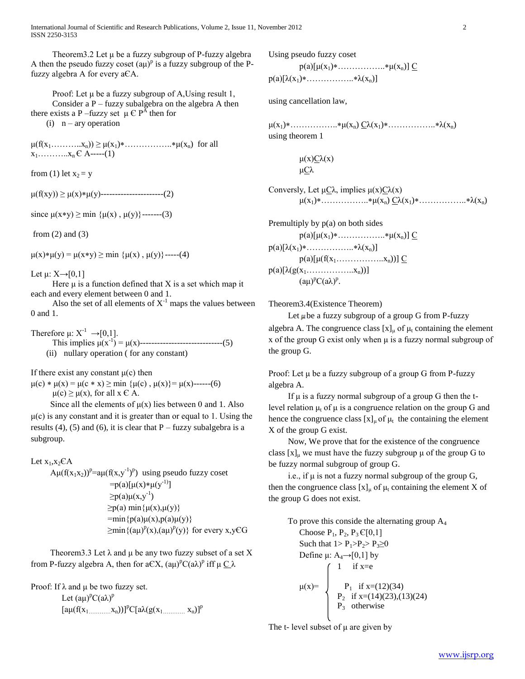Theorem3.2 Let μ be a fuzzy subgroup of P-fuzzy algebra A then the pseudo fuzzy coset  $(a\mu)^p$  is a fuzzy subgroup of the Pfuzzy algebra A for every aЄA.

Proof: Let  $\mu$  be a fuzzy subgroup of A, Using result 1, Consider a  $P$  – fuzzy subalgebra on the algebra A then there exists a P –fuzzy set  $\mu \in P^{\overline{A}}$  then for (i)  $n - ary operation$ 

 $\mu(f(x_1, \ldots, x_n)) \geq \mu(x_1) * \ldots, \ldots, x_n * \mu(x_n)$  for all  $x_1, \ldots, x_n \in A$ -----(1)

from (1) let  $x_2 = y$ 

 $\mu(f(xy)) \ge \mu(x)*\mu(y)$ -----------------------(2)

since  $\mu(x*y) \ge \min {\mu(x), \mu(y)}$ -------(3)

from  $(2)$  and  $(3)$ 

 $\mu(x)*\mu(y) = \mu(x*y) \ge \min \{\mu(x), \mu(y)\}\$ -----(4)

Let  $\mu: X \rightarrow [0,1]$ 

Here  $\mu$  is a function defined that X is a set which map it each and every element between 0 and 1.

Also the set of all elements of  $X^{-1}$  maps the values between 0 and 1.

Therefore  $\mu: X^{-1} \rightarrow [0,1]$ . This implies  $\mu(x^{-1}) = \mu(x)$ -------------------------------(5) (ii) nullary operation ( for any constant)

If there exist any constant  $\mu(c)$  then

 $\mu(c) * \mu(x) = \mu(c * x) \ge \min \{\mu(c), \mu(x)\} = \mu(x)$ ------(6)  $\mu(c) \geq \mu(x)$ , for all  $x \in A$ .

Since all the elements of  $\mu(x)$  lies between 0 and 1. Also  $\mu(c)$  is any constant and it is greater than or equal to 1. Using the results (4), (5) and (6), it is clear that  $P$  – fuzzy subalgebra is a subgroup.

## Let  $x_1, x_2 \in A$

 $A\mu(f(x_1x_2))^p=a\mu(f(x,y^{-1})^p)$  using pseudo fuzzy coset  $= p(a)[\mu(x)*\mu(y^{-1})]$  $\geq p(a)\mu(x,y^{-1})$  $\geq p(a)$  min $\{\mu(x), \mu(y)\}\$  $=$ min{p(a) $\mu(x)$ ,p(a) $\mu(y)$ }  $\geq$ min $\{(a\mu)^p(x),(a\mu)^p(y)\}\$ for every x,yEG

Theorem 3.3 Let  $\lambda$  and  $\mu$  be any two fuzzy subset of a set X from P-fuzzy algebra A, then for a $\mathbb{C}X$ ,  $(a\mu)^p C(a\lambda)^p$  iff  $\mu \underline{C}\lambda$ 

Proof: If  $\lambda$  and  $\mu$  be two fuzzy set.

Let  $(a\mu)^pC(a\lambda)^p$  $[a\mu(f(x_1, \ldots, x_n))]^pC[a\lambda(g(x_1, \ldots, x_n)]^p$  Using pseudo fuzzy coset

 $p(a)[\mu(x_1)*... \ldots * \mu(x_n)] \underline{C}$ 

 $p(a)[\lambda(x_1)*............*\lambda(x_n)]$ 

using cancellation law,

 $\mu(x_1)$ \*…………………\* $\mu(x_n) \underline{C} \lambda(x_1)$ \*…………………\* $\lambda(x_n)$ using theorem 1

> $\mu(x)C\lambda(x)$ μСλ

Conversly, Let  $μCλ$ , implies  $μ(x)Cλ(x)$  $\mu(x_1) * \ldots \ldots \ldots * \mu(x_n) \underline{C} \lambda(x_1) * \ldots \ldots \ldots * \lambda(x_n)$ 

Premultiply by p(a) on both sides  $p(a)[\mu(x_1)*... \ldots * \mu(x_n)] \underline{C}$  $p(a)[\lambda(x_1)*............*\lambda(x_n)]$  $p(a)[\mu(f(x_1,\ldots,\ldots,\ldots,x_n))] \underline{C}$  $p(a)[\lambda(g(x_1, \ldots, \ldots, x_n))]$  $(a\mu)^p C(a\lambda)^p$ .

Theorem3.4(Existence Theorem)

Let  $\mu$  be a fuzzy subgroup of a group G from P-fuzzy

algebra A. The congruence class  $[x]_u$  of  $\mu_t$  containing the element x of the group G exist only when μ is a fuzzy normal subgroup of the group G.

Proof: Let μ be a fuzzy subgroup of a group G from P-fuzzy algebra A.

If  $\mu$  is a fuzzy normal subgroup of a group G then the tlevel relation  $\mu_t$  of  $\mu$  is a congruence relation on the group G and hence the congruence class  $[x]_{\mu}$  of  $\mu$ <sub>t</sub> the containing the element X of the group G exist.

 Now, We prove that for the existence of the congruence class  $[x]_u$  we must have the fuzzy subgroup  $\mu$  of the group G to be fuzzy normal subgroup of group G.

i.e., if  $\mu$  is not a fuzzy normal subgroup of the group G, then the congruence class  $[x]_u$  of  $\mu_t$  containing the element X of the group G does not exist.

To prove this conside the alternating group  $A_4$ Choose  $P_1$ ,  $P_2$ ,  $P_3 \in [0,1]$ Such that  $1 > P_1 > P_2 > P_3 \ge 0$ Define  $\mu$ : A<sub>4</sub>→[0,1] by  $\int 1$  if x=e  $\mu(x) = \int P_1$  if  $x=(12)(34)$  $P_2$  if  $x=(14)(23),(13)(24)$  $P_3$  otherwise

The t- level subset of  $\mu$  are given by